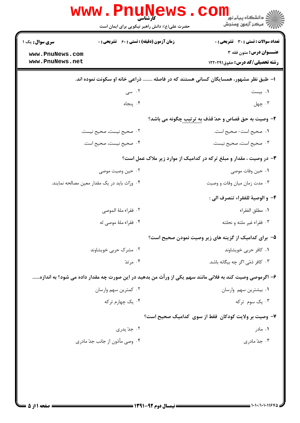|                                    | WWW.Pnung<br>حضرت علی(ع): دانش راهبر نیکویی برای ایمان است                                              | ڪ دانشڪاه پيا <sub>م</sub> نور<br>ر <i>7</i> مرڪز آزمون وسنڊش       |
|------------------------------------|---------------------------------------------------------------------------------------------------------|---------------------------------------------------------------------|
| سری سوال: یک ۱                     | <b>زمان آزمون (دقیقه) : تستی : 60 ٪ تشریحی : 0</b>                                                      | <b>تعداد سوالات : تستی : 30 ٪ تشریحی : 0</b>                        |
| www.PnuNews.com<br>www.PnuNews.net |                                                                                                         | عنــوان درس: متون فقه ٣<br><b>رشته تحصیلی/کد درس:</b> حقوق122021    |
|                                    | ا– طبق نظر مشهور، همسایگان کسانی هستند که در فاصله  ذراعی خانه او سکونت نموده اند.                      |                                                                     |
|                                    | ۰۲ سی $\cdot$                                                                                           | ۰۱ بیست                                                             |
|                                    | ۰۴ پنجاه                                                                                                | ۰۳ چهل                                                              |
|                                    |                                                                                                         | ۲- وصیت به حق قصاص و حدّ قذف به ترتیب چگونه می باشد؟                |
|                                    | ٠٢ صحيح نيست، صحيح نيست.                                                                                | ٠١. صحيح است-صحيح است.                                              |
|                                    | ۴. صحيح نيست، صحيح است.                                                                                 | ۰۳ صحیح است، صحیح نیست.                                             |
|                                    |                                                                                                         | ۳- در وصیت ، مقدار و مبلغ ترکه در کدامیک از موارد زیر ملاک عمل است؟ |
|                                    | ۰۲ حین وصیت موصی                                                                                        | ٠١ حين وفات موصى                                                    |
|                                    | ۰۴ ورّاث باید در یک مقدار معین مصالحه نمایند.                                                           | ۰۳ مدت زمان میان وفات و وصیت                                        |
|                                    |                                                                                                         | ۴- و الوصية للفقراء تنصرف الى :                                     |
|                                    | ٢. فقراء ملهٔ الموصى                                                                                    | ٠١ مطلق الفقراء                                                     |
|                                    | ۰۴ فقراء ملهٔ موصی له                                                                                   | ۰۳ فقراء غير ملته و نحلته                                           |
|                                    |                                                                                                         | ۵– برای کدامیک از گزینه های زیر وصیت نمودن صحیح است؟                |
|                                    | ۰۲ مشرک حربی خویشاوند                                                                                   | ٠١ كافر حربي خويشاوند                                               |
|                                    | ۰۴ مرتد                                                                                                 | ۰۳ کافر ذمّی اگر چه بیگانه باشد.                                    |
|                                    | ۶– اگرموصی وصیت کند به فلانی مانند سهم یکی از ورأث من بدهید در این صورت چه مقدار داده می شود؟ به اندازه |                                                                     |
|                                    | ۰۲ کمترین سهم وارسان                                                                                    | ٠١ بيشترين سهم وارسان                                               |
|                                    | ۰۴ یک چهارم ترکه                                                                                        | ۰۳ یک سوم ترکه                                                      |
|                                    |                                                                                                         | ۷– وصیت بر ولایت کودکان فقط از سوی کدامیک صحیح است؟                 |
|                                    | ۰۲ جدّ پدري                                                                                             | ۰۱ مادر                                                             |
|                                    | ۰۴ وصی مأذون از جانب جدّ مادری                                                                          | ۰۳ جدّ مادری                                                        |
|                                    |                                                                                                         |                                                                     |
|                                    |                                                                                                         |                                                                     |
|                                    |                                                                                                         |                                                                     |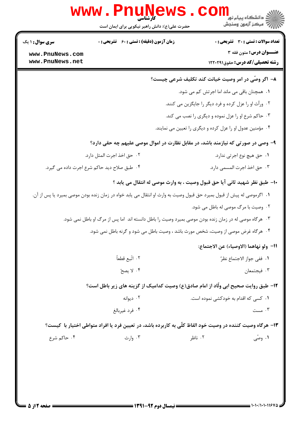|                                                                           | www.PnuNews<br>كأرشناسه.<br>حضرت علی(ع): دانش راهبر نیکویی برای ایمان است                                            |                                                           | دانشگاه پیام نور<br>ا∛ مرکز آزمون وسنجش                          |
|---------------------------------------------------------------------------|----------------------------------------------------------------------------------------------------------------------|-----------------------------------------------------------|------------------------------------------------------------------|
| <b>سری سوال : ۱ یک</b>                                                    | <b>زمان آزمون (دقیقه) : تستی : 60 ٪ تشریحی : 0</b>                                                                   |                                                           | <b>تعداد سوالات : تستی : 30 - تشریحی : 0</b>                     |
| www.PnuNews.com<br>www.PnuNews.net                                        |                                                                                                                      |                                                           | عنــوان درس: متون فقه 3<br><b>رشته تحصیلی/کد درس:</b> حقوق120011 |
|                                                                           |                                                                                                                      | ٨− اگر وصّی در امر وصیت خیانت کند تکلیف شرعی چیست؟        |                                                                  |
|                                                                           |                                                                                                                      | ٠١ همچنان باقی می ماند اما اجرتش کم می شود.               |                                                                  |
|                                                                           |                                                                                                                      | ۰۲ ورآث او را عزل کرده و فرد دیگر را جایگزین می کنند.     |                                                                  |
|                                                                           |                                                                                                                      | ۰۳ حاکم شرع او را عزل نموده و دیگری را نصب می کند.        |                                                                  |
|                                                                           |                                                                                                                      | ۰۴ مؤمنین عدول او را عزل کرده و دیگری را تعیین می نمایند. |                                                                  |
|                                                                           | ۹- وصی در صورتی که نیازمند باشد، در مقابل نظارت در اموال موصی علیهم چه حقی دارد؟                                     |                                                           |                                                                  |
|                                                                           | ٠٢ حق اخذ اجرت المثل دارد.                                                                                           |                                                           | ۰۱ حق هیچ نوع اجرتی ندارد.                                       |
|                                                                           | ۰۴ طبق صلاح دید حاکم شرع اجرت داده می گیرد.                                                                          |                                                           | ۰۳ حق اخذ اجرت المسمى دارد.                                      |
| ∙ا− طبق نظر شهيد ثاني آيا حق قبول وصيت ، به وارث موصى له انتقال مي يابد ؟ |                                                                                                                      |                                                           |                                                                  |
|                                                                           | ۰۱ گرموصی له پیش از قبول بمیرد حق قبول وصیت به وارث او انتقال می یابد خواه در زمان زنده بودن موصی بمیرد یا پس از آن. |                                                           |                                                                  |
|                                                                           |                                                                                                                      |                                                           | ۰۲ وصیت با مرگ موصی له باطل می شود.                              |
|                                                                           | ۰۳ هرگاه موصی له در زمان زنده بودن موصی بمیرد وصیت را باطل دانسته اند  اما پس از مرگ او باطل نمی شود.                |                                                           |                                                                  |
|                                                                           | ۰۴ هرگاه غرض موصی از وصیت، شخص مورث باشد ، وصیت باطل می شود و گرنه باطل نمی شود.                                     |                                                           |                                                                  |
|                                                                           |                                                                                                                      |                                                           | 11– ولو نهاهما (الاوصياء) عن الاجتماع:                           |
|                                                                           | ٠٢ اتَّبع قطعاً                                                                                                      |                                                           | ٠١. ففي جواز الاجتماع نظرٌ                                       |
|                                                                           | ۰۴ لا يصحّ                                                                                                           |                                                           | ۰۳ فیجتمعان                                                      |
|                                                                           | <b>۱۲</b> - طبق روایت صحیح ابی ولّاد از امام صادق(ع) وصیت کدامیک از گزینه های زیر باطل است؟                          |                                                           |                                                                  |
|                                                                           | ۰۲ دیوانه                                                                                                            | ۰۱ کسی که اقدام به خودکشی نموده است.                      |                                                                  |
|                                                                           | ۰۴ فرد غیربالغ                                                                                                       |                                                           | ۰۳ مست                                                           |
|                                                                           | ۱۳– هرگاه وصیت کننده در وصیت خود الفاظ کلّی به کاربرده باشد، در تعیین فرد یا افراد متواطی اختیار با کیست؟            |                                                           |                                                                  |
| ۰۴ حاکم شرع                                                               | ۰۳ وارث                                                                                                              | ۰۲ ناظر                                                   | ۰۱ وصّی                                                          |
|                                                                           |                                                                                                                      |                                                           |                                                                  |
|                                                                           |                                                                                                                      |                                                           |                                                                  |
|                                                                           |                                                                                                                      |                                                           |                                                                  |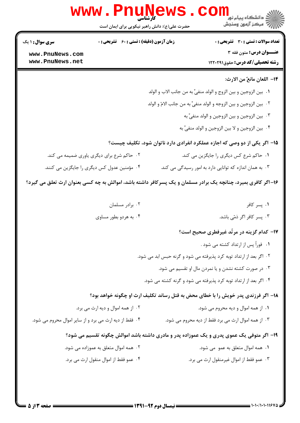| <b>سری سوال : ۱ یک</b>                                 | زمان آزمون (دقیقه) : تستی : ۶۰٪ تشریحی : ۰ | <b>تعداد سوالات : تستی : 30 - تشریحی : 0</b>                                                                  |
|--------------------------------------------------------|--------------------------------------------|---------------------------------------------------------------------------------------------------------------|
| www.PnuNews.com<br>www.PnuNews.net                     |                                            | عنــوان درس: متون فقه ۳<br><b>رشته تحصیلی/کد درس:</b> حقوق122021                                              |
|                                                        |                                            |                                                                                                               |
|                                                        |                                            | 1۴– اللعان مانعٌ من الارث:                                                                                    |
|                                                        |                                            | ٠١. بين الزوجين و بين الزوج و الولد منفيٍّ به من جانب الاب و الولد                                            |
|                                                        |                                            | ٠٢ بين الزوجين و بين الزوجه و الولد منفيٍّ به من جانب الامّ و الولد                                           |
|                                                        |                                            | ۰۳ بين الزوجين و بين الزوجين و الولد منفيٍّ به                                                                |
|                                                        |                                            | ۰۴ بين الزوجين و لا بين الزوجين و الولد منفيٍّ به                                                             |
|                                                        |                                            | ۱۵- اگر یکی از دو وصی که اجازه عملکرد انفرادی دارد ناتوان شود، تکلیف چیست؟                                    |
|                                                        | ۰۲ حاکم شرع برای دیگری یاوری ضمیمه می کند. | ۰۱ حاکم شرع کس دیگری را جایگزین می کند.                                                                       |
| ۰۴ مؤمنین عدول کس دیگری را جایگزین می کنند.            |                                            | ۰۳ به همان اندازه که توانایی دارد به امور رسیدگی می کند.                                                      |
|                                                        |                                            | ۱۶–اگر کافری بمیرد، چنانچه یک برادر مسلمان و یک پسرکافر داشته باشد، اموالش به چه کسی بعنوان ارث تعلق می گیرد؟ |
|                                                        | ۰۲ برادر مسلمان                            | ۰۱ پسر کافر                                                                                                   |
|                                                        | ۰۴ به هردو بطور مساوی                      | ۰۳ پسر کافر اگر ذمّی باشد.                                                                                    |
|                                                        |                                            | ۱۷– کدام گزینه در مرتّد غیرفطری صحیح است؟                                                                     |
|                                                        |                                            | ۰۱ فوراً پس از ارتداد کشته می شود .                                                                           |
|                                                        |                                            | ۰۲ اگر بعد از ارتداد توبه کرد پذیرفته می شود و گرنه حبس ابد می شود.                                           |
|                                                        |                                            | ۰۳ در صورت کشته نشدن و یا نمردن مال او تقسیم می شود.                                                          |
|                                                        |                                            | ۰۴ اگر بعد از ارتداد توبه کرد پذیرفته می شود و گرنه کشته می شود.                                              |
|                                                        |                                            | ۱۸– اگر فرزندی پدر خویش را با خطای محض به قتل رساند تکلیف ارث او چگونه خواهد بود؟                             |
|                                                        | ۰۲ از همه اموال و دیه ارث می برد.          | ۰۱ از همه اموال و دیه محروم می شود.                                                                           |
| ۰۴ فقط از دیه ارث می برد و از سایر اموال محروم می شود. |                                            | ۰۳ از همه اموال ارث می برد فقط از دیه محروم می شود.                                                           |
|                                                        |                                            | ۱۹- اگر متوفی یک عموی پدری و یک عموزاده پدر و مادری داشته باشد اموالش چگونه تقسیم می شود؟                     |
|                                                        | ۰۲ همه اموال متعلق به عموزاده می شود.      | ۰۱ همه اموال متعلق به عمو ً می شود.                                                                           |
|                                                        | ۰۴ عمو فقط از اموال منقول ارث می برد.      | ٠٣ عمو فقط از اموال غيرمنقول ارث مي برد.                                                                      |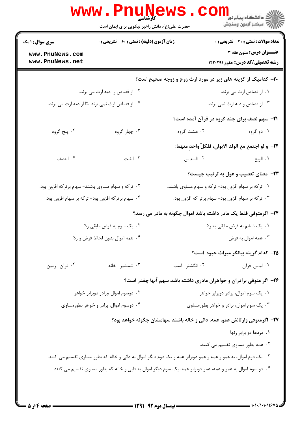|                                                    | www.PnuNews<br>حضرت علی(ع): دانش راهبر نیکویی برای ایمان است |                                                                                                                 | ڪ دانشڪاه پيام نور<br><mark>∕</mark> > مرڪز آزمون وسنڊش          |
|----------------------------------------------------|--------------------------------------------------------------|-----------------------------------------------------------------------------------------------------------------|------------------------------------------------------------------|
| <b>سری سوال : ۱ یک</b>                             | <b>زمان آزمون (دقیقه) : تستی : 60 ٪ تشریحی : 0</b>           |                                                                                                                 | <b>تعداد سوالات : تستی : 30 ٪ تشریحی : 0</b>                     |
| www.PnuNews.com<br>www.PnuNews.net                 |                                                              |                                                                                                                 | عنــوان درس: متون فقه ۳<br><b>رشته تحصیلی/کد درس:</b> حقوق122011 |
|                                                    |                                                              | <b>۳۰</b> - کدامیک از گزینه های زیر در مورد ارث زوج و زوجه صحیح است؟                                            |                                                                  |
|                                                    | ۲. از قصاص و دیه ارث می برند.                                |                                                                                                                 | ۰۱ از قصاص ارث می برند.                                          |
|                                                    | ۰۴ از قصاص ارث نمي برند امّا از ديه ارث مي برند.             |                                                                                                                 | ۰۳ از قصاص و دیه ارث نمی برند.                                   |
|                                                    |                                                              |                                                                                                                 | <b>۲۱</b> - سهم نصف برای چند گروه در قرآن آمده است؟              |
| ۰۴ پنج گروه                                        | ۰۳ چهار گروه                                                 | ۰۲ هشت گروه                                                                                                     | ۰۱ دو گروه                                                       |
|                                                    |                                                              |                                                                                                                 | ٢٢- و لو اجتمع مع الولد الابوان، فلكلّ واحدٍ منهما:              |
| ۰۴ النصف                                           | ۰۳ الثلث                                                     |                                                                                                                 | ٠١ الربع من السدس                                                |
|                                                    |                                                              |                                                                                                                 | <b>۲۳</b> - معنای تعصیب و عول <u>به ترتیب</u> چیست؟              |
| ۰۲ ترکه و سهام مساوی باشند- سهام برترکه افزون بود. |                                                              | ۰۱ ترکه بر سهام افزون بود- ترکه و سهام مساوی باشند.                                                             |                                                                  |
|                                                    | ۰۴ سهام برترکه افزون بود- ترکه بر سهام افزون بود.            | ۰۳ ترکه بر سهام افزون بود- سهام برتر که افزون بود.                                                              |                                                                  |
|                                                    |                                                              | ۲۴- اگرمتوفی فقط یک مادر داشته باشد اموال چگونه به مادر می رسد؟                                                 |                                                                  |
|                                                    | ۰۲ یک سوم به فرض مابقی ردّ                                   |                                                                                                                 | ۰۱ يک ششم به فرض مابقي به ردّ                                    |
|                                                    | ۰۴ همه اموال بدون لحاظ فرض و ردّ                             |                                                                                                                 | ۰۳ همه اموال به فرض                                              |
|                                                    |                                                              |                                                                                                                 | ۲۵– کدام گزینه بیانگر میراث حبوه است؟                            |
| ۰۴ قرآن- زمين                                      | ۰۳ شمشیر- خانه                                               | ۰۲ انگشتر-اسب                                                                                                   | ۰۱ لباس-قرآن                                                     |
|                                                    |                                                              | ۲۶- اگر متوفی برادران و خواهران مادری داشته باشد سهم آنها چقدر است؟                                             |                                                                  |
|                                                    | ۰۲ دوسوم اموال ،برادر دوبرابر خواهر                          |                                                                                                                 | ٠١. یک سوم اموال، برادر دوبرابر خواهر                            |
|                                                    | ۰۴ دوسوم اموال، برادر و خواهر بطورمساوی                      | ۰۳ یک سوم اموال، برادر و خواهر بطورمساوی                                                                        |                                                                  |
|                                                    |                                                              | ۲۷– اگرمتوفی وارثانش عمو، عمه، دائی و خاله باشند سهامشان چگونه خواهد بود؟                                       |                                                                  |
|                                                    |                                                              |                                                                                                                 | ٠١. مردها دو برابر زنها                                          |
|                                                    |                                                              |                                                                                                                 | ۰۲ همه بطور مساوی تقسیم می کنند.                                 |
|                                                    |                                                              | ۰۳ یک دوم اموال، به عمو و عمه و عمو دوبرابر عمه و یک دوم دیگر اموال به دائی و خاله که بطور مساوی تقسیم می کنند. |                                                                  |
|                                                    |                                                              | ۰۴ دو سوم اموال به عمو و عمه، عمو دوبرابر عمه، یک سوم دیگر اموال به دایی و خاله که بطور مساوی تقسیم می کنند.    |                                                                  |